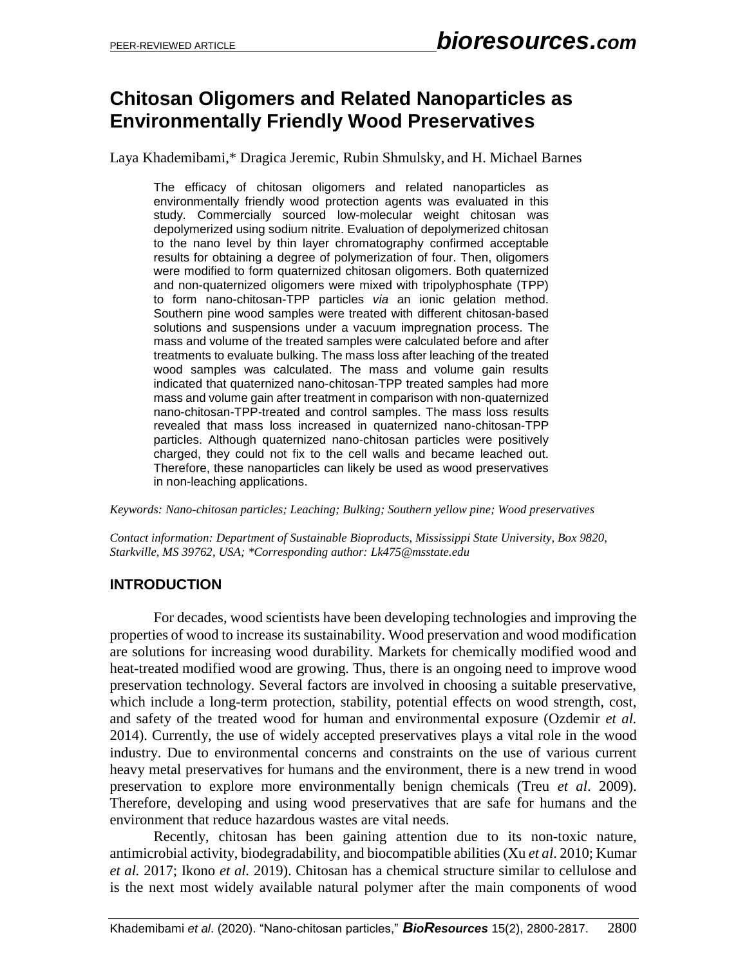# **Chitosan Oligomers and Related Nanoparticles as Environmentally Friendly Wood Preservatives**

Laya Khademibami,\* Dragica Jeremic, Rubin Shmulsky, and H. Michael Barnes

The efficacy of chitosan oligomers and related nanoparticles as environmentally friendly wood protection agents was evaluated in this study. Commercially sourced low-molecular weight chitosan was depolymerized using sodium nitrite. Evaluation of depolymerized chitosan to the nano level by thin layer chromatography confirmed acceptable results for obtaining a degree of polymerization of four. Then, oligomers were modified to form quaternized chitosan oligomers. Both quaternized and non-quaternized oligomers were mixed with tripolyphosphate (TPP) to form nano-chitosan-TPP particles *via* an ionic gelation method. Southern pine wood samples were treated with different chitosan-based solutions and suspensions under a vacuum impregnation process. The mass and volume of the treated samples were calculated before and after treatments to evaluate bulking. The mass loss after leaching of the treated wood samples was calculated. The mass and volume gain results indicated that quaternized nano-chitosan-TPP treated samples had more mass and volume gain after treatment in comparison with non-quaternized nano-chitosan-TPP-treated and control samples. The mass loss results revealed that mass loss increased in quaternized nano-chitosan-TPP particles. Although quaternized nano-chitosan particles were positively charged, they could not fix to the cell walls and became leached out. Therefore, these nanoparticles can likely be used as wood preservatives in non-leaching applications.

*Keywords: Nano-chitosan particles; Leaching; Bulking; Southern yellow pine; Wood preservatives*

*Contact information: Department of Sustainable Bioproducts, Mississippi State University, Box 9820, Starkville, MS 39762, USA; \*Corresponding author: Lk475@msstate.edu* 

#### **INTRODUCTION**

For decades, wood scientists have been developing technologies and improving the properties of wood to increase its sustainability. Wood preservation and wood modification are solutions for increasing wood durability. Markets for chemically modified wood and heat-treated modified wood are growing. Thus, there is an ongoing need to improve wood preservation technology. Several factors are involved in choosing a suitable preservative, which include a long-term protection, stability, potential effects on wood strength, cost, and safety of the treated wood for human and environmental exposure (Ozdemir *et al.* 2014). Currently, the use of widely accepted preservatives plays a vital role in the wood industry. Due to environmental concerns and constraints on the use of various current heavy metal preservatives for humans and the environment, there is a new trend in wood preservation to explore more environmentally benign chemicals (Treu *et al*. 2009). Therefore, developing and using wood preservatives that are safe for humans and the environment that reduce hazardous wastes are vital needs.

Recently, chitosan has been gaining attention due to its non-toxic nature, antimicrobial activity, biodegradability, and biocompatible abilities (Xu *et al*. 2010; Kumar *et al.* 2017; Ikono *et al.* 2019). Chitosan has a chemical structure similar to cellulose and is the next most widely available natural polymer after the main components of wood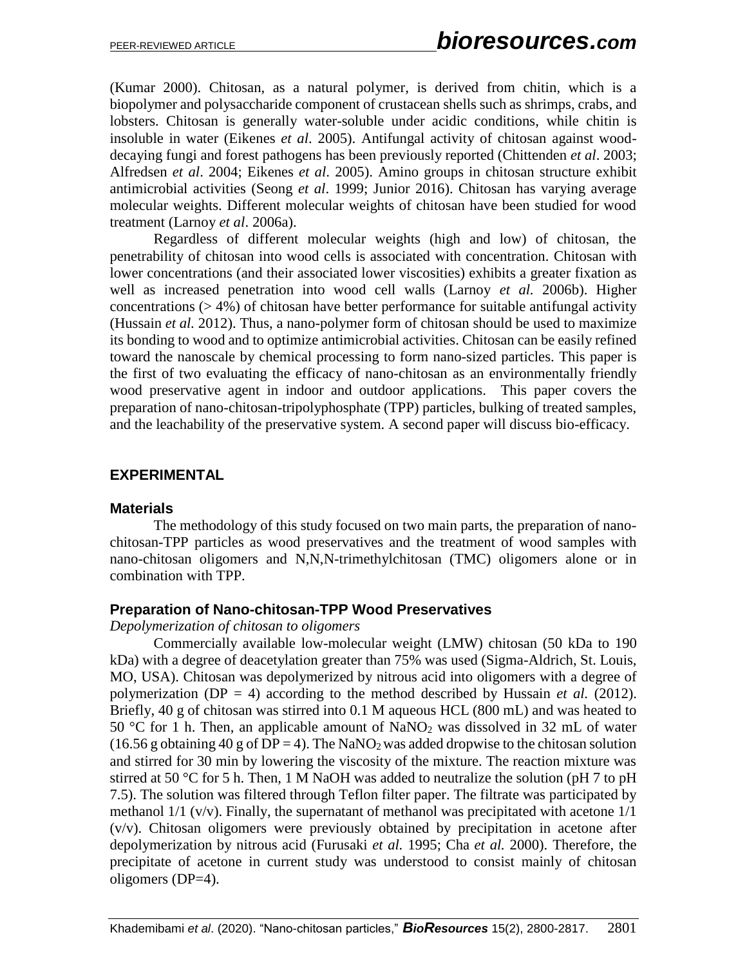(Kumar 2000). Chitosan, as a natural polymer, is derived from chitin, which is a biopolymer and polysaccharide component of crustacean shells such as shrimps, crabs, and lobsters. Chitosan is generally water-soluble under acidic conditions, while chitin is insoluble in water (Eikenes *et al*. 2005). Antifungal activity of chitosan against wooddecaying fungi and forest pathogens has been previously reported (Chittenden *et al*. 2003; Alfredsen *et al*. 2004; Eikenes *et al*. 2005). Amino groups in chitosan structure exhibit antimicrobial activities (Seong *et al*. 1999; Junior 2016). Chitosan has varying average molecular weights. Different molecular weights of chitosan have been studied for wood treatment (Larnoy *et al*. 2006a).

Regardless of different molecular weights (high and low) of chitosan, the penetrability of chitosan into wood cells is associated with concentration. Chitosan with lower concentrations (and their associated lower viscosities) exhibits a greater fixation as well as increased penetration into wood cell walls (Larnoy *et al.* 2006b). Higher concentrations  $(> 4\%)$  of chitosan have better performance for suitable antifungal activity (Hussain *et al.* 2012). Thus, a nano-polymer form of chitosan should be used to maximize its bonding to wood and to optimize antimicrobial activities. Chitosan can be easily refined toward the nanoscale by chemical processing to form nano-sized particles. This paper is the first of two evaluating the efficacy of nano-chitosan as an environmentally friendly wood preservative agent in indoor and outdoor applications. This paper covers the preparation of nano-chitosan-tripolyphosphate (TPP) particles, bulking of treated samples, and the leachability of the preservative system. A second paper will discuss bio-efficacy.

## **EXPERIMENTAL**

#### **Materials**

The methodology of this study focused on two main parts, the preparation of nanochitosan-TPP particles as wood preservatives and the treatment of wood samples with nano-chitosan oligomers and N,N,N-trimethylchitosan (TMC) oligomers alone or in combination with TPP.

#### **Preparation of Nano-chitosan-TPP Wood Preservatives**

#### *Depolymerization of chitosan to oligomers*

Commercially available low-molecular weight (LMW) chitosan (50 kDa to 190 kDa) with a degree of deacetylation greater than 75% was used (Sigma-Aldrich, St. Louis, MO, USA). Chitosan was depolymerized by nitrous acid into oligomers with a degree of polymerization ( $DP = 4$ ) according to the method described by Hussain *et al.* (2012). Briefly, 40 g of chitosan was stirred into 0.1 M aqueous HCL (800 mL) and was heated to 50 °C for 1 h. Then, an applicable amount of NaNO<sub>2</sub> was dissolved in 32 mL of water (16.56 g obtaining 40 g of DP = 4). The NaNO<sub>2</sub> was added dropwise to the chitosan solution and stirred for 30 min by lowering the viscosity of the mixture. The reaction mixture was stirred at 50 °C for 5 h. Then, 1 M NaOH was added to neutralize the solution (pH 7 to pH 7.5). The solution was filtered through Teflon filter paper. The filtrate was participated by methanol 1/1 (v/v). Finally, the supernatant of methanol was precipitated with acetone 1/1 (v/v). Chitosan oligomers were previously obtained by precipitation in acetone after depolymerization by nitrous acid (Furusaki *et al.* 1995; Cha *et al.* 2000). Therefore, the precipitate of acetone in current study was understood to consist mainly of chitosan oligomers (DP=4).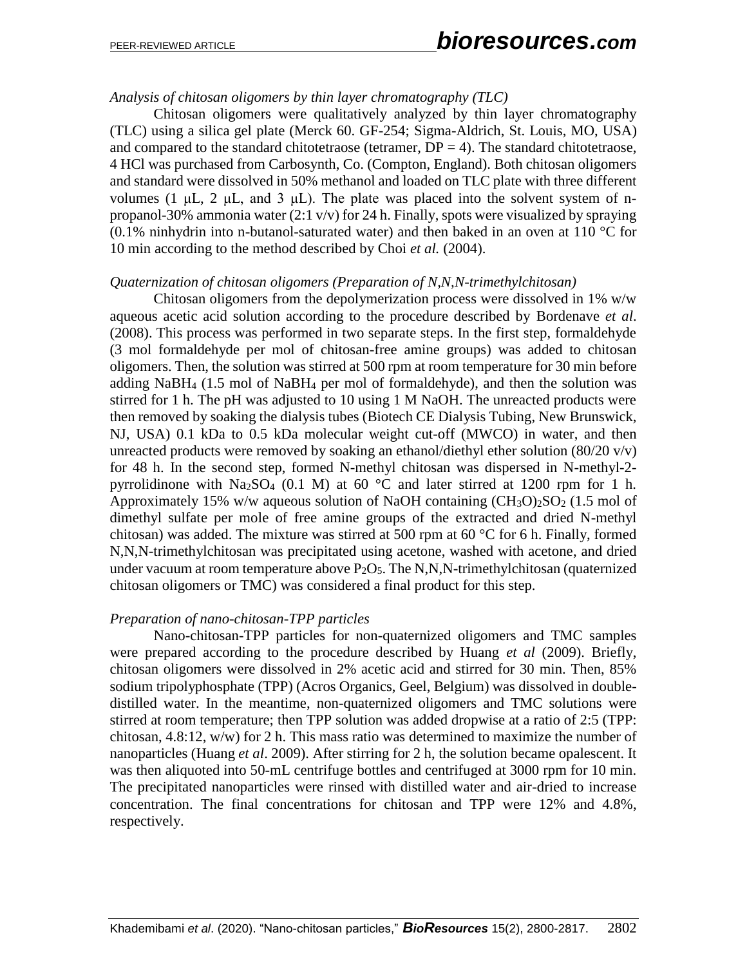## *Analysis of chitosan oligomers by thin layer chromatography (TLC)*

Chitosan oligomers were qualitatively analyzed by thin layer chromatography (TLC) using a silica gel plate (Merck 60. GF-254; Sigma-Aldrich, St. Louis, MO, USA) and compared to the standard chitotetraose (tetramer,  $DP = 4$ ). The standard chitotetraose, 4 HCl was purchased from Carbosynth, Co. (Compton, England). Both chitosan oligomers and standard were dissolved in 50% methanol and loaded on TLC plate with three different volumes (1  $\mu$ L, 2  $\mu$ L, and 3  $\mu$ L). The plate was placed into the solvent system of npropanol-30% ammonia water (2:1 v/v) for 24 h. Finally, spots were visualized by spraying (0.1% ninhydrin into n-butanol-saturated water) and then baked in an oven at 110  $\mathrm{^{\circ}C}$  for 10 min according to the method described by Choi *et al.* (2004).

#### *Quaternization of chitosan oligomers (Preparation of N,N,N-trimethylchitosan)*

Chitosan oligomers from the depolymerization process were dissolved in 1% w/w aqueous acetic acid solution according to the procedure described by Bordenave *et al*. (2008). This process was performed in two separate steps. In the first step, formaldehyde (3 mol formaldehyde per mol of chitosan-free amine groups) was added to chitosan oligomers. Then, the solution was stirred at 500 rpm at room temperature for 30 min before adding NaBH<sup>4</sup> (1.5 mol of NaBH<sup>4</sup> per mol of formaldehyde), and then the solution was stirred for 1 h. The pH was adjusted to 10 using 1 M NaOH. The unreacted products were then removed by soaking the dialysis tubes (Biotech CE Dialysis Tubing, New Brunswick, NJ, USA) 0.1 kDa to 0.5 kDa molecular weight cut-off (MWCO) in water, and then unreacted products were removed by soaking an ethanol/diethyl ether solution  $(80/20 \text{ y/y})$ for 48 h. In the second step, formed N-methyl chitosan was dispersed in N-methyl-2 pyrrolidinone with  $Na<sub>2</sub>SO<sub>4</sub>$  (0.1 M) at 60 °C and later stirred at 1200 rpm for 1 h. Approximately 15% w/w aqueous solution of NaOH containing  $(CH_3O)_2SO_2$  (1.5 mol of dimethyl sulfate per mole of free amine groups of the extracted and dried N-methyl chitosan) was added. The mixture was stirred at 500 rpm at 60 °C for 6 h. Finally, formed N,N,N-trimethylchitosan was precipitated using acetone, washed with acetone, and dried under vacuum at room temperature above  $P_2O_5$ . The N,N,N-trimethylchitosan (quaternized chitosan oligomers or TMC) was considered a final product for this step.

#### *Preparation of nano-chitosan-TPP particles*

Nano-chitosan-TPP particles for non-quaternized oligomers and TMC samples were prepared according to the procedure described by Huang *et al* (2009). Briefly, chitosan oligomers were dissolved in 2% acetic acid and stirred for 30 min. Then, 85% sodium tripolyphosphate (TPP) (Acros Organics, Geel, Belgium) was dissolved in doubledistilled water. In the meantime, non-quaternized oligomers and TMC solutions were stirred at room temperature; then TPP solution was added dropwise at a ratio of 2:5 (TPP: chitosan, 4.8:12, w/w) for 2 h. This mass ratio was determined to maximize the number of nanoparticles (Huang *et al*. 2009). After stirring for 2 h, the solution became opalescent. It was then aliquoted into 50-mL centrifuge bottles and centrifuged at 3000 rpm for 10 min. The precipitated nanoparticles were rinsed with distilled water and air-dried to increase concentration. The final concentrations for chitosan and TPP were 12% and 4.8%, respectively.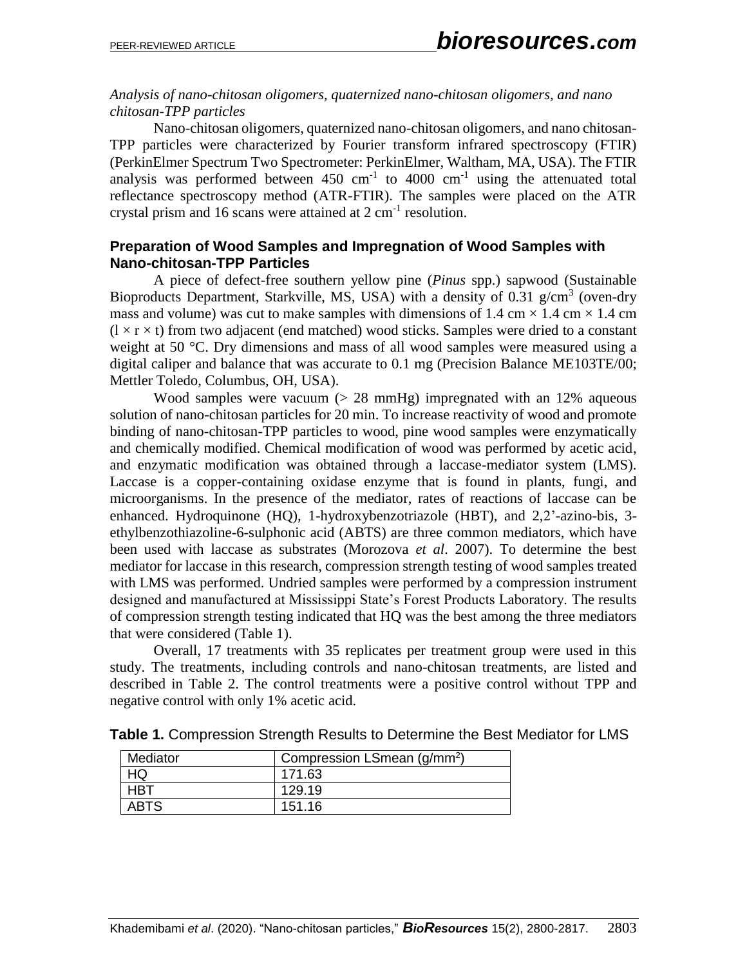## *Analysis of nano-chitosan oligomers, quaternized nano-chitosan oligomers, and nano chitosan-TPP particles*

Nano-chitosan oligomers, quaternized nano-chitosan oligomers, and nano chitosan-TPP particles were characterized by Fourier transform infrared spectroscopy (FTIR) (PerkinElmer Spectrum Two Spectrometer: PerkinElmer, Waltham, MA, USA). The FTIR analysis was performed between  $450 \text{ cm}^{-1}$  to  $4000 \text{ cm}^{-1}$  using the attenuated total reflectance spectroscopy method (ATR-FTIR). The samples were placed on the ATR crystal prism and 16 scans were attained at  $2 \text{ cm}^{-1}$  resolution.

## **Preparation of Wood Samples and Impregnation of Wood Samples with Nano-chitosan-TPP Particles**

A piece of defect-free southern yellow pine (*Pinus* spp.) sapwood (Sustainable Bioproducts Department, Starkville, MS, USA) with a density of 0.31  $g/cm<sup>3</sup>$  (oven-dry mass and volume) was cut to make samples with dimensions of 1.4 cm  $\times$  1.4 cm  $\times$  1.4 cm  $(l \times r \times t)$  from two adjacent (end matched) wood sticks. Samples were dried to a constant weight at 50 °C. Dry dimensions and mass of all wood samples were measured using a digital caliper and balance that was accurate to 0.1 mg (Precision Balance ME103TE/00; Mettler Toledo, Columbus, OH, USA).

Wood samples were vacuum  $(> 28 \text{ mmHg})$  impregnated with an 12% aqueous solution of nano-chitosan particles for 20 min. To increase reactivity of wood and promote binding of nano-chitosan-TPP particles to wood, pine wood samples were enzymatically and chemically modified. Chemical modification of wood was performed by acetic acid, and enzymatic modification was obtained through a laccase-mediator system (LMS). Laccase is a copper-containing oxidase enzyme that is found in plants, fungi, and microorganisms. In the presence of the mediator, rates of reactions of laccase can be enhanced. Hydroquinone (HQ), 1-hydroxybenzotriazole (HBT), and 2,2'-azino-bis, 3 ethylbenzothiazoline-6-sulphonic acid (ABTS) are three common mediators, which have been used with laccase as substrates (Morozova *et al*. 2007). To determine the best mediator for laccase in this research, compression strength testing of wood samples treated with LMS was performed. Undried samples were performed by a compression instrument designed and manufactured at Mississippi State's Forest Products Laboratory. The results of compression strength testing indicated that HQ was the best among the three mediators that were considered (Table 1).

Overall, 17 treatments with 35 replicates per treatment group were used in this study. The treatments, including controls and nano-chitosan treatments, are listed and described in Table 2. The control treatments were a positive control without TPP and negative control with only 1% acetic acid.

| Mediator    | Compression LSmean (g/mm <sup>2</sup> ) |
|-------------|-----------------------------------------|
|             | 171.63                                  |
| HBT         | 129.19                                  |
| <b>ABTS</b> | 151.16                                  |

**Table 1.** Compression Strength Results to Determine the Best Mediator for LMS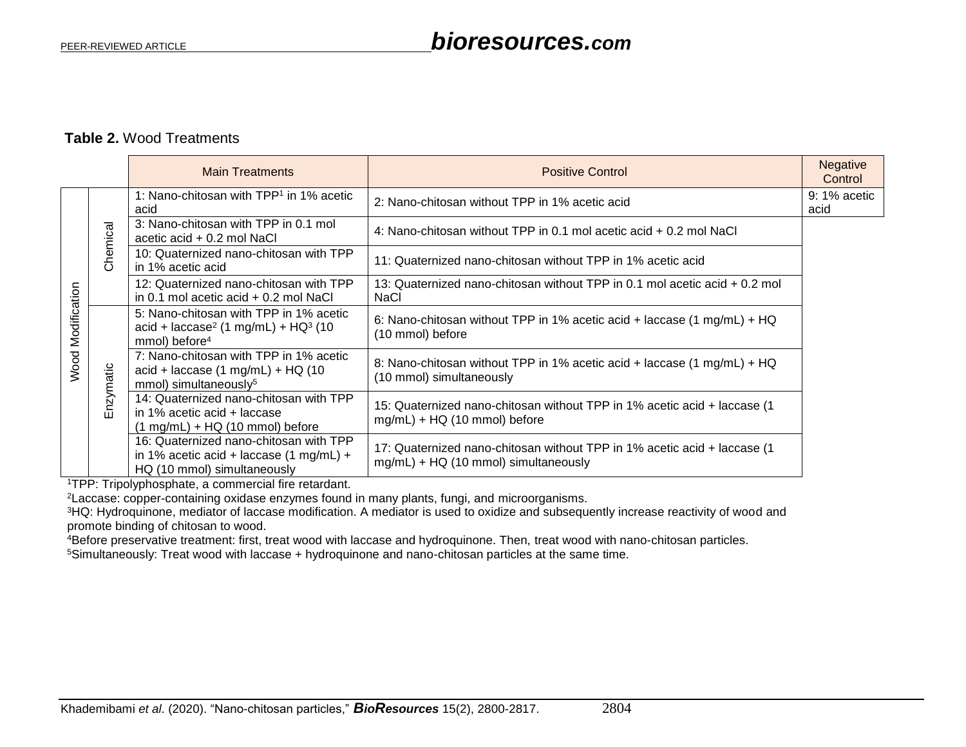## **Table 2.** Wood Treatments

|                      |           | <b>Main Treatments</b>                                                                                                             | <b>Positive Control</b>                                                                                           | <b>Negative</b><br>Control |
|----------------------|-----------|------------------------------------------------------------------------------------------------------------------------------------|-------------------------------------------------------------------------------------------------------------------|----------------------------|
| Modification<br>Wood | Chemical  | 1: Nano-chitosan with TPP <sup>1</sup> in 1% acetic<br>acid                                                                        | 2: Nano-chitosan without TPP in 1% acetic acid                                                                    | $9:1\%$ acetic<br>acid     |
|                      |           | 3: Nano-chitosan with TPP in 0.1 mol<br>acetic acid + 0.2 mol NaCl                                                                 | 4: Nano-chitosan without TPP in 0.1 mol acetic acid + 0.2 mol NaCl                                                |                            |
|                      |           | 10: Quaternized nano-chitosan with TPP<br>in 1% acetic acid                                                                        | 11: Quaternized nano-chitosan without TPP in 1% acetic acid                                                       |                            |
|                      |           | 12: Quaternized nano-chitosan with TPP<br>in 0.1 mol acetic acid + 0.2 mol NaCl                                                    | 13: Quaternized nano-chitosan without TPP in 0.1 mol acetic acid + 0.2 mol<br><b>NaCl</b>                         |                            |
|                      | Enzymatic | 5: Nano-chitosan with TPP in 1% acetic<br>acid + laccase <sup>2</sup> (1 mg/mL) + HQ <sup>3</sup> (10<br>mmol) before <sup>4</sup> | 6: Nano-chitosan without TPP in 1% acetic acid + laccase (1 mg/mL) + HQ<br>(10 mmol) before                       |                            |
|                      |           | 7: Nano-chitosan with TPP in 1% acetic<br>$acid + laccase (1 mg/mL) + HQ (10$<br>mmol) simultaneously <sup>5</sup>                 | 8: Nano-chitosan without TPP in 1% acetic acid + laccase (1 mg/mL) + HQ<br>(10 mmol) simultaneously               |                            |
|                      |           | 14: Quaternized nano-chitosan with TPP<br>in 1% acetic acid $+$ laccase<br>$(1 \text{ mg/mL}) + HQ (10 \text{ mmol})$ before       | 15: Quaternized nano-chitosan without TPP in 1% acetic acid + laccase (1<br>mg/mL) + HQ (10 mmol) before          |                            |
|                      |           | 16: Quaternized nano-chitosan with TPP<br>in 1% acetic acid + laccase $(1 \text{ mg/mL}) +$<br>HQ (10 mmol) simultaneously         | 17: Quaternized nano-chitosan without TPP in 1% acetic acid + laccase (1)<br>mg/mL) + HQ (10 mmol) simultaneously |                            |

<sup>1</sup>TPP: Tripolyphosphate, a commercial fire retardant.

<sup>2</sup>Laccase: copper-containing oxidase enzymes found in many plants, fungi, and microorganisms.

<sup>3</sup>HQ: Hydroquinone, mediator of laccase modification. A mediator is used to oxidize and subsequently increase reactivity of wood and promote binding of chitosan to wood.

<sup>4</sup>Before preservative treatment: first, treat wood with laccase and hydroquinone. Then, treat wood with nano-chitosan particles.

5Simultaneously: Treat wood with laccase + hydroquinone and nano-chitosan particles at the same time.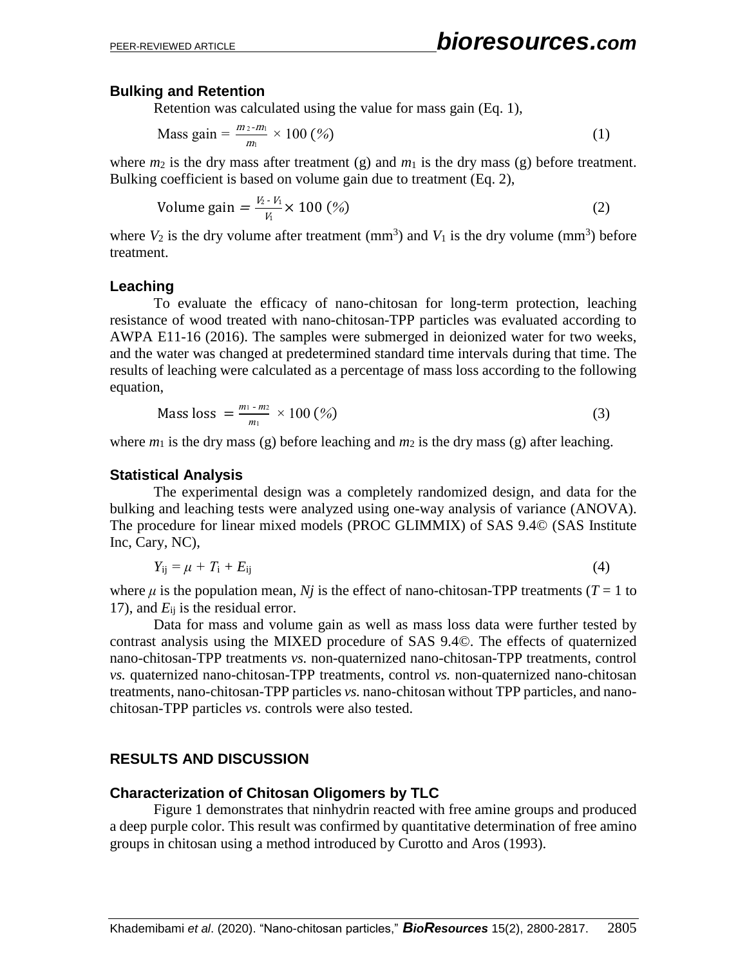## **Bulking and Retention**

Retention was calculated using the value for mass gain (Eq. 1),

Mass gain = 
$$
\frac{m_2 - m_1}{m_1} \times 100\,(^{\circ}\!\!\omega)
$$
 (1)

where  $m_2$  is the dry mass after treatment (g) and  $m_1$  is the dry mass (g) before treatment. Bulking coefficient is based on volume gain due to treatment (Eq. 2),

Volume gain 
$$
=\frac{V_2 - V_1}{V_1} \times 100\,(^0_0)
$$
 (2)

where  $V_2$  is the dry volume after treatment (mm<sup>3</sup>) and  $V_1$  is the dry volume (mm<sup>3</sup>) before treatment.

#### **Leaching**

To evaluate the efficacy of nano-chitosan for long-term protection, leaching resistance of wood treated with nano-chitosan-TPP particles was evaluated according to AWPA E11-16 (2016). The samples were submerged in deionized water for two weeks, and the water was changed at predetermined standard time intervals during that time. The results of leaching were calculated as a percentage of mass loss according to the following equation,

Mass loss = 
$$
\frac{m_1 - m_2}{m_1} \times 100 \, (\%) \tag{3}
$$

where  $m_1$  is the dry mass (g) before leaching and  $m_2$  is the dry mass (g) after leaching.

#### **Statistical Analysis**

The experimental design was a completely randomized design, and data for the bulking and leaching tests were analyzed using one-way analysis of variance (ANOVA). The procedure for linear mixed models (PROC GLIMMIX) of SAS 9.4© (SAS Institute Inc, Cary, NC),

$$
Y_{ij} = \mu + T_i + E_{ij} \tag{4}
$$

where  $\mu$  is the population mean, *N<sub>j</sub>* is the effect of nano-chitosan-TPP treatments (*T* = 1 to 17), and  $E_{ii}$  is the residual error.

Data for mass and volume gain as well as mass loss data were further tested by contrast analysis using the MIXED procedure of SAS 9.4©. The effects of quaternized nano-chitosan-TPP treatments *vs.* non-quaternized nano-chitosan-TPP treatments, control *vs.* quaternized nano-chitosan-TPP treatments, control *vs.* non-quaternized nano-chitosan treatments, nano-chitosan-TPP particles *vs.* nano-chitosan without TPP particles, and nanochitosan-TPP particles *vs.* controls were also tested.

#### **RESULTS AND DISCUSSION**

#### **Characterization of Chitosan Oligomers by TLC**

Figure 1 demonstrates that ninhydrin reacted with free amine groups and produced a deep purple color. This result was confirmed by quantitative determination of free amino groups in chitosan using a method introduced by Curotto and Aros (1993).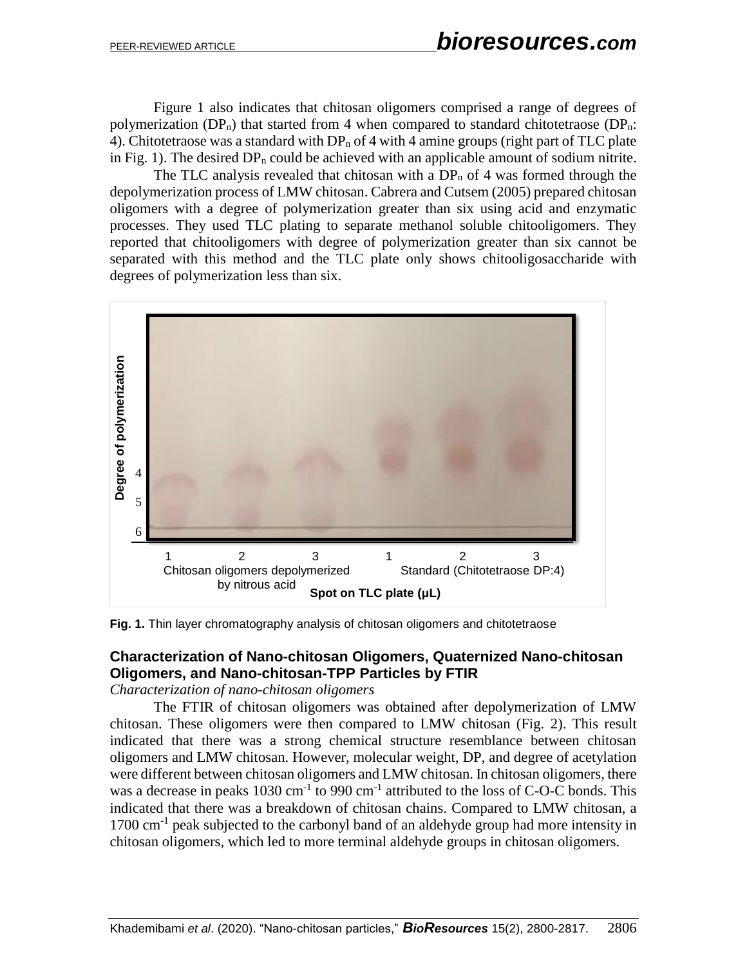Figure 1 also indicates that chitosan oligomers comprised a range of degrees of polymerization ( $DP_n$ ) that started from 4 when compared to standard chitotetraose ( $DP_n$ ): 4). Chitotetraose was a standard with  $DP_n$  of 4 with 4 amine groups (right part of TLC plate in Fig. 1). The desired  $DP_n$  could be achieved with an applicable amount of sodium nitrite.

The TLC analysis revealed that chitosan with a  $DP_n$  of 4 was formed through the depolymerization process of LMW chitosan. Cabrera and Cutsem (2005) prepared chitosan oligomers with a degree of polymerization greater than six using acid and enzymatic processes. They used TLC plating to separate methanol soluble chitooligomers. They reported that chitooligomers with degree of polymerization greater than six cannot be separated with this method and the TLC plate only shows chitooligosaccharide with degrees of polymerization less than six.



**Fig. 1.** Thin layer chromatography analysis of chitosan oligomers and chitotetraose

## **Characterization of Nano-chitosan Oligomers, Quaternized Nano-chitosan Oligomers, and Nano-chitosan-TPP Particles by FTIR**

*Characterization of nano-chitosan oligomers*

The FTIR of chitosan oligomers was obtained after depolymerization of LMW chitosan. These oligomers were then compared to LMW chitosan (Fig. 2). This result indicated that there was a strong chemical structure resemblance between chitosan oligomers and LMW chitosan. However, molecular weight, DP, and degree of acetylation were different between chitosan oligomers and LMW chitosan. In chitosan oligomers, there was a decrease in peaks  $1030 \text{ cm}^{-1}$  to 990 cm<sup>-1</sup> attributed to the loss of C-O-C bonds. This indicated that there was a breakdown of chitosan chains. Compared to LMW chitosan, a 1700 cm<sup>-1</sup> peak subjected to the carbonyl band of an aldehyde group had more intensity in chitosan oligomers, which led to more terminal aldehyde groups in chitosan oligomers.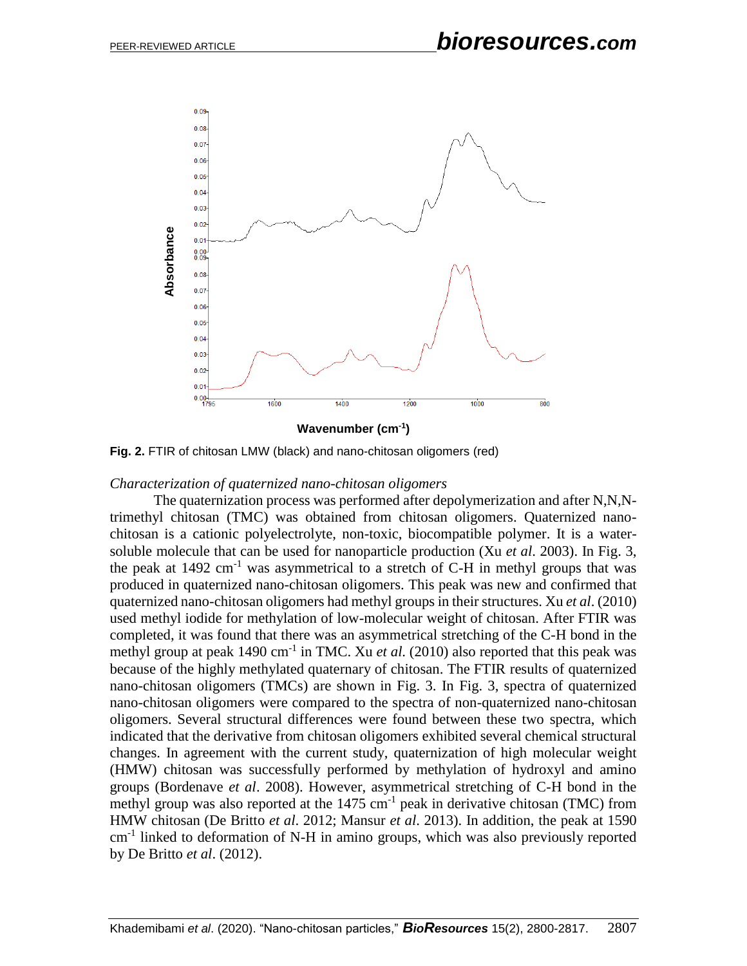

**Fig. 2.** FTIR of chitosan LMW (black) and nano-chitosan oligomers (red)

#### *Characterization of quaternized nano-chitosan oligomers*

The quaternization process was performed after depolymerization and after N,N,Ntrimethyl chitosan (TMC) was obtained from chitosan oligomers. Quaternized nanochitosan is a cationic polyelectrolyte, non-toxic, biocompatible polymer. It is a watersoluble molecule that can be used for nanoparticle production (Xu *et al*. 2003). In Fig. 3, the peak at  $1492 \text{ cm}^{-1}$  was asymmetrical to a stretch of C-H in methyl groups that was produced in quaternized nano-chitosan oligomers. This peak was new and confirmed that quaternized nano-chitosan oligomers had methyl groups in their structures. Xu *et al*. (2010) used methyl iodide for methylation of low-molecular weight of chitosan. After FTIR was completed, it was found that there was an asymmetrical stretching of the C-H bond in the methyl group at peak 1490 cm<sup>-1</sup> in TMC. Xu *et al.* (2010) also reported that this peak was because of the highly methylated quaternary of chitosan. The FTIR results of quaternized nano-chitosan oligomers (TMCs) are shown in Fig. 3. In Fig. 3, spectra of quaternized nano-chitosan oligomers were compared to the spectra of non-quaternized nano-chitosan oligomers. Several structural differences were found between these two spectra, which indicated that the derivative from chitosan oligomers exhibited several chemical structural changes. In agreement with the current study, quaternization of high molecular weight (HMW) chitosan was successfully performed by methylation of hydroxyl and amino groups (Bordenave *et al*. 2008). However, asymmetrical stretching of C-H bond in the methyl group was also reported at the  $1475 \text{ cm}^{-1}$  peak in derivative chitosan (TMC) from HMW chitosan (De Britto *et al*. 2012; Mansur *et al*. 2013). In addition, the peak at 1590 cm<sup>-1</sup> linked to deformation of N-H in amino groups, which was also previously reported by De Britto *et al*. (2012).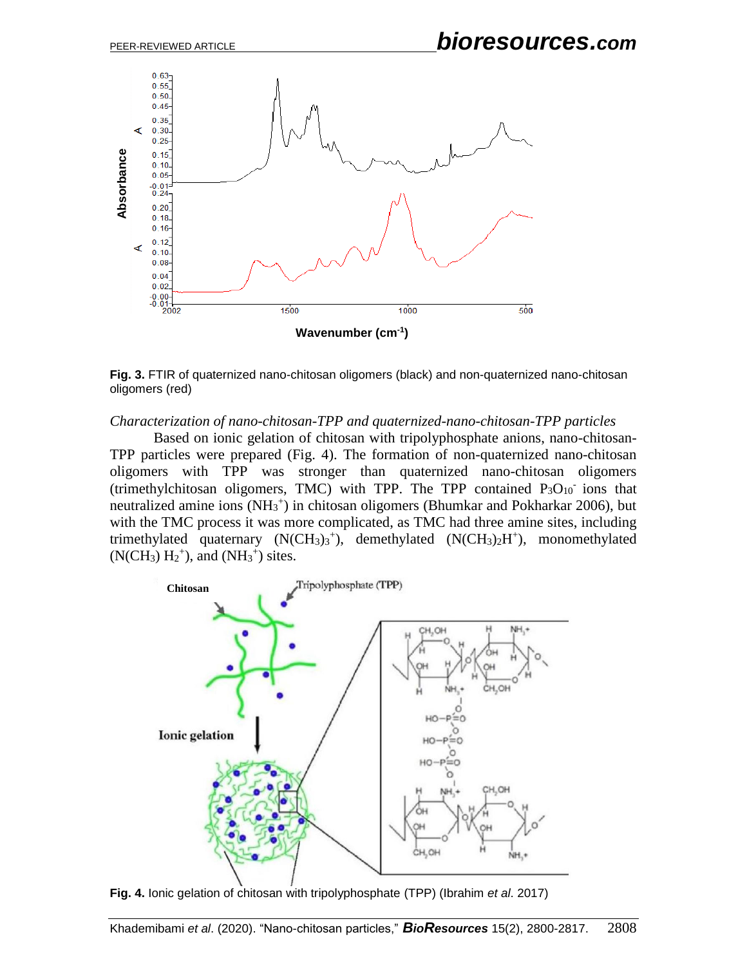

**Fig. 3.** FTIR of quaternized nano-chitosan oligomers (black) and non-quaternized nano-chitosan oligomers (red)

*Characterization of nano-chitosan-TPP and quaternized-nano-chitosan-TPP particles*

Based on ionic gelation of chitosan with tripolyphosphate anions, nano-chitosan-TPP particles were prepared (Fig. 4). The formation of non-quaternized nano-chitosan oligomers with TPP was stronger than quaternized nano-chitosan oligomers (trimethylchitosan oligomers, TMC) with TPP. The TPP contained  $P_3O_{10}$  ions that neutralized amine ions (NH<sub>3</sub><sup>+</sup>) in chitosan oligomers (Bhumkar and Pokharkar 2006), but with the TMC process it was more complicated, as TMC had three amine sites, including trimethylated quaternary  $(N(CH_3)_3^+)$ , demethylated  $(N(CH_3)_2H^+)$ , monomethylated  $(N(CH_3) H_2^+)$ , and  $(NH_3^+)$  sites.



**Fig. 4.** Ionic gelation of chitosan with tripolyphosphate (TPP) (Ibrahim *et al*. 2017)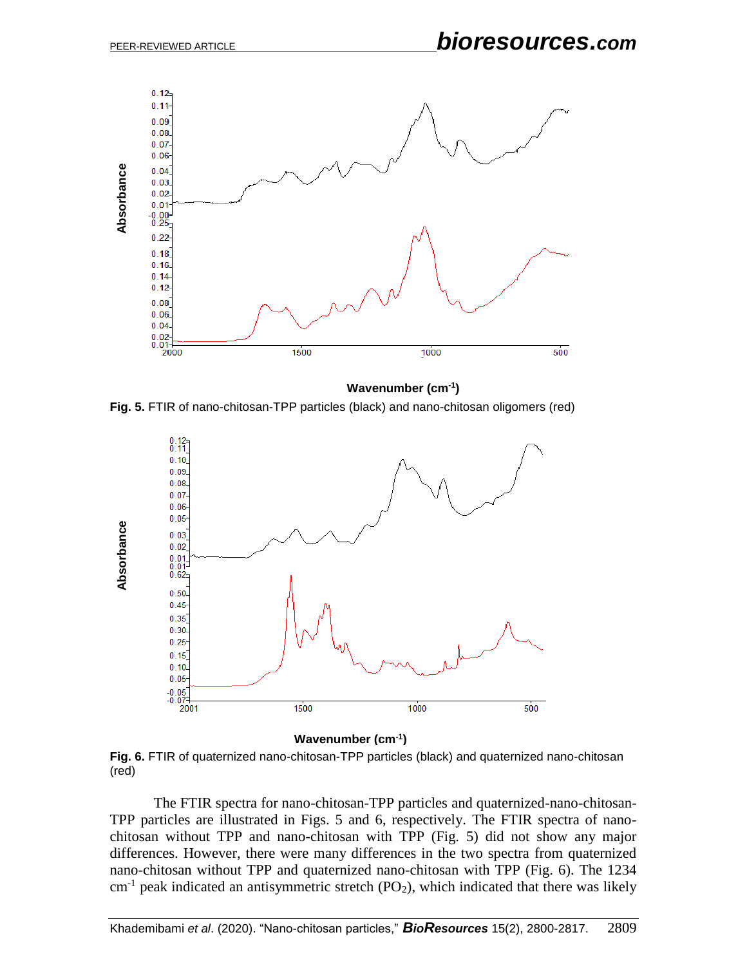

**Wavenumber (cm-1 )**

**Fig. 5.** FTIR of nano-chitosan-TPP particles (black) and nano-chitosan oligomers (red)



**Wavenumber (cm-1 )**

**Fig. 6.** FTIR of quaternized nano-chitosan-TPP particles (black) and quaternized nano-chitosan (red)

The FTIR spectra for nano-chitosan-TPP particles and quaternized-nano-chitosan-TPP particles are illustrated in Figs. 5 and 6, respectively. The FTIR spectra of nanochitosan without TPP and nano-chitosan with TPP (Fig. 5) did not show any major differences. However, there were many differences in the two spectra from quaternized nano-chitosan without TPP and quaternized nano-chitosan with TPP (Fig. 6). The 1234  $cm<sup>-1</sup>$  peak indicated an antisymmetric stretch (PO<sub>2</sub>), which indicated that there was likely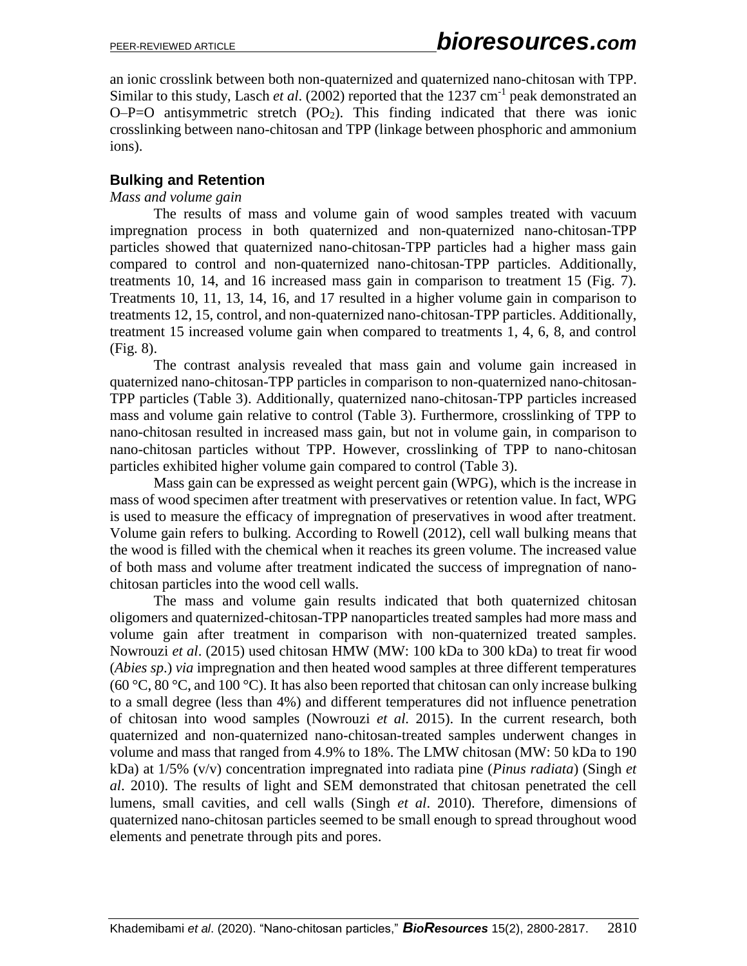an ionic crosslink between both non-quaternized and quaternized nano-chitosan with TPP. Similar to this study, Lasch *et al.* (2002) reported that the 1237 cm<sup>-1</sup> peak demonstrated an  $O-P=O$  antisymmetric stretch  $(PO<sub>2</sub>)$ . This finding indicated that there was ionic crosslinking between nano-chitosan and TPP (linkage between phosphoric and ammonium ions).

## **Bulking and Retention**

### *Mass and volume gain*

The results of mass and volume gain of wood samples treated with vacuum impregnation process in both quaternized and non-quaternized nano-chitosan-TPP particles showed that quaternized nano-chitosan-TPP particles had a higher mass gain compared to control and non-quaternized nano-chitosan-TPP particles. Additionally, treatments 10, 14, and 16 increased mass gain in comparison to treatment 15 (Fig. 7). Treatments 10, 11, 13, 14, 16, and 17 resulted in a higher volume gain in comparison to treatments 12, 15, control, and non-quaternized nano-chitosan-TPP particles. Additionally, treatment 15 increased volume gain when compared to treatments 1, 4, 6, 8, and control (Fig. 8).

The contrast analysis revealed that mass gain and volume gain increased in quaternized nano-chitosan-TPP particles in comparison to non-quaternized nano-chitosan-TPP particles (Table 3). Additionally, quaternized nano-chitosan-TPP particles increased mass and volume gain relative to control (Table 3). Furthermore, crosslinking of TPP to nano-chitosan resulted in increased mass gain, but not in volume gain, in comparison to nano-chitosan particles without TPP. However, crosslinking of TPP to nano-chitosan particles exhibited higher volume gain compared to control (Table 3).

Mass gain can be expressed as weight percent gain (WPG), which is the increase in mass of wood specimen after treatment with preservatives or retention value. In fact, WPG is used to measure the efficacy of impregnation of preservatives in wood after treatment. Volume gain refers to bulking. According to Rowell (2012), cell wall bulking means that the wood is filled with the chemical when it reaches its green volume. The increased value of both mass and volume after treatment indicated the success of impregnation of nanochitosan particles into the wood cell walls.

The mass and volume gain results indicated that both quaternized chitosan oligomers and quaternized-chitosan-TPP nanoparticles treated samples had more mass and volume gain after treatment in comparison with non-quaternized treated samples. Nowrouzi *et al*. (2015) used chitosan HMW (MW: 100 kDa to 300 kDa) to treat fir wood (*Abies sp*.) *via* impregnation and then heated wood samples at three different temperatures (60 °C, 80 °C, and 100 °C). It has also been reported that chitosan can only increase bulking to a small degree (less than 4%) and different temperatures did not influence penetration of chitosan into wood samples (Nowrouzi *et al*. 2015). In the current research, both quaternized and non-quaternized nano-chitosan-treated samples underwent changes in volume and mass that ranged from 4.9% to 18%. The LMW chitosan (MW: 50 kDa to 190 kDa) at 1/5% (v/v) concentration impregnated into radiata pine (*Pinus radiata*) (Singh *et al*. 2010). The results of light and SEM demonstrated that chitosan penetrated the cell lumens, small cavities, and cell walls (Singh *et al*. 2010). Therefore, dimensions of quaternized nano-chitosan particles seemed to be small enough to spread throughout wood elements and penetrate through pits and pores.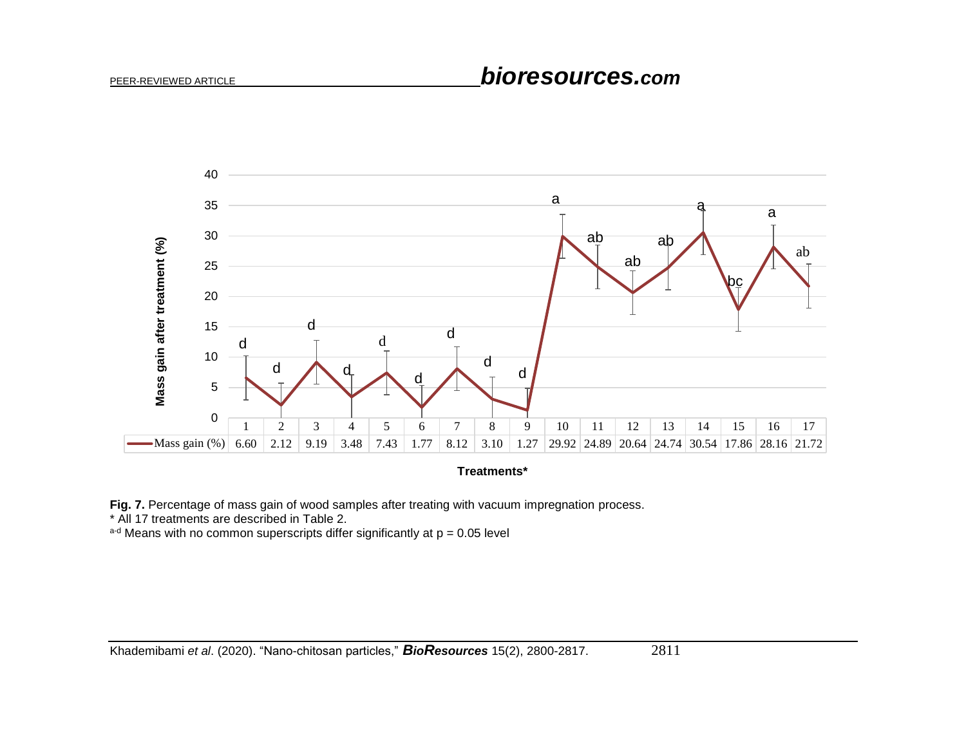# PEER-REVIEWED ARTICLE *bioresources.com*



**Treatments\***

**Fig. 7.** Percentage of mass gain of wood samples after treating with vacuum impregnation process.

\* All 17 treatments are described in Table 2.

 $a-d$  Means with no common superscripts differ significantly at  $p = 0.05$  level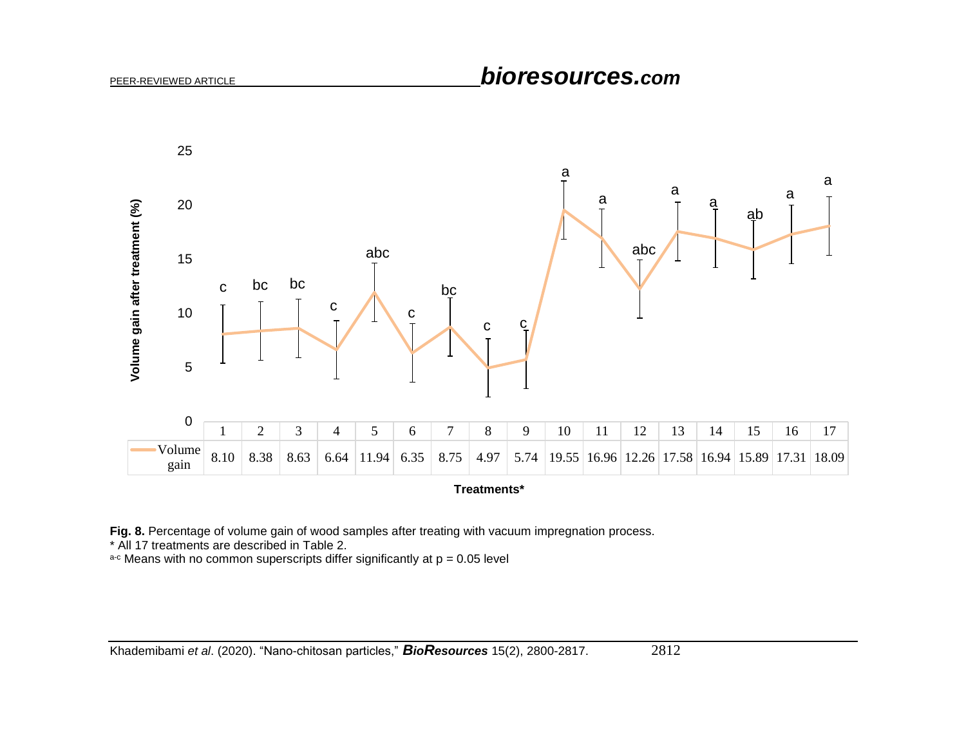

**Treatments\***

**Fig. 8.** Percentage of volume gain of wood samples after treating with vacuum impregnation process.

\* All 17 treatments are described in Table 2.

 $a-c$  Means with no common superscripts differ significantly at  $p = 0.05$  level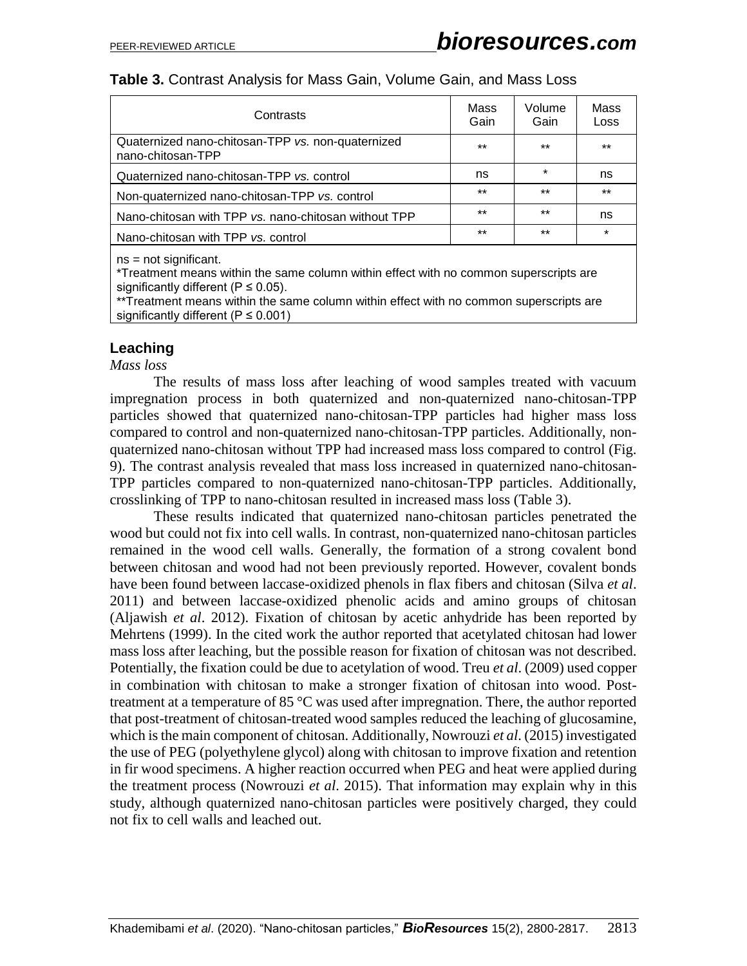| Contrasts                                                              | Mass<br>Gain | Volume<br>Gain | Mass<br><b>Loss</b> |
|------------------------------------------------------------------------|--------------|----------------|---------------------|
| Quaternized nano-chitosan-TPP vs. non-quaternized<br>nano-chitosan-TPP |              | $***$          | $***$               |
| Quaternized nano-chitosan-TPP vs. control                              |              | $\star$        | ns                  |
| Non-quaternized nano-chitosan-TPP vs. control                          | $***$        | $***$          | $***$               |
| Nano-chitosan with TPP vs. nano-chitosan without TPP                   | $***$        | $***$          | ns                  |
| Nano-chitosan with TPP vs. control                                     | $***$        | $***$          | $\star$             |
| $ns = not$ significant.                                                |              |                |                     |

\*Treatment means within the same column within effect with no common superscripts are significantly different ( $P \le 0.05$ ).

\*\*Treatment means within the same column within effect with no common superscripts are significantly different ( $P \le 0.001$ )

#### **Leaching**

*Mass loss*

The results of mass loss after leaching of wood samples treated with vacuum impregnation process in both quaternized and non-quaternized nano-chitosan-TPP particles showed that quaternized nano-chitosan-TPP particles had higher mass loss compared to control and non-quaternized nano-chitosan-TPP particles. Additionally, nonquaternized nano-chitosan without TPP had increased mass loss compared to control (Fig. 9). The contrast analysis revealed that mass loss increased in quaternized nano-chitosan-TPP particles compared to non-quaternized nano-chitosan-TPP particles. Additionally, crosslinking of TPP to nano-chitosan resulted in increased mass loss (Table 3).

These results indicated that quaternized nano-chitosan particles penetrated the wood but could not fix into cell walls. In contrast, non-quaternized nano-chitosan particles remained in the wood cell walls. Generally, the formation of a strong covalent bond between chitosan and wood had not been previously reported. However, covalent bonds have been found between laccase-oxidized phenols in flax fibers and chitosan (Silva *et al*. 2011) and between laccase-oxidized phenolic acids and amino groups of chitosan (Aljawish *et al*. 2012). Fixation of chitosan by acetic anhydride has been reported by Mehrtens (1999). In the cited work the author reported that acetylated chitosan had lower mass loss after leaching, but the possible reason for fixation of chitosan was not described. Potentially, the fixation could be due to acetylation of wood. Treu *et al*. (2009) used copper in combination with chitosan to make a stronger fixation of chitosan into wood. Posttreatment at a temperature of 85 °C was used after impregnation. There, the author reported that post-treatment of chitosan-treated wood samples reduced the leaching of glucosamine, which is the main component of chitosan. Additionally, Nowrouzi *et al*. (2015) investigated the use of PEG (polyethylene glycol) along with chitosan to improve fixation and retention in fir wood specimens. A higher reaction occurred when PEG and heat were applied during the treatment process (Nowrouzi *et al*. 2015). That information may explain why in this study, although quaternized nano-chitosan particles were positively charged, they could not fix to cell walls and leached out.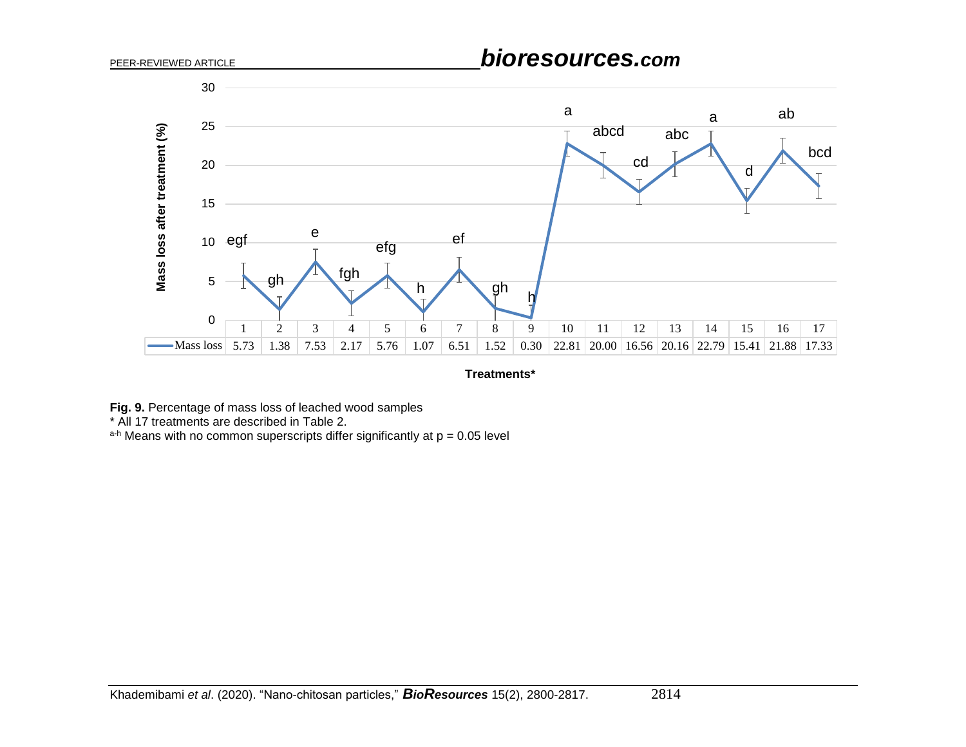

**Treatments\***

**Fig. 9.** Percentage of mass loss of leached wood samples

\* All 17 treatments are described in Table 2.

 $a-h$  Means with no common superscripts differ significantly at  $p = 0.05$  level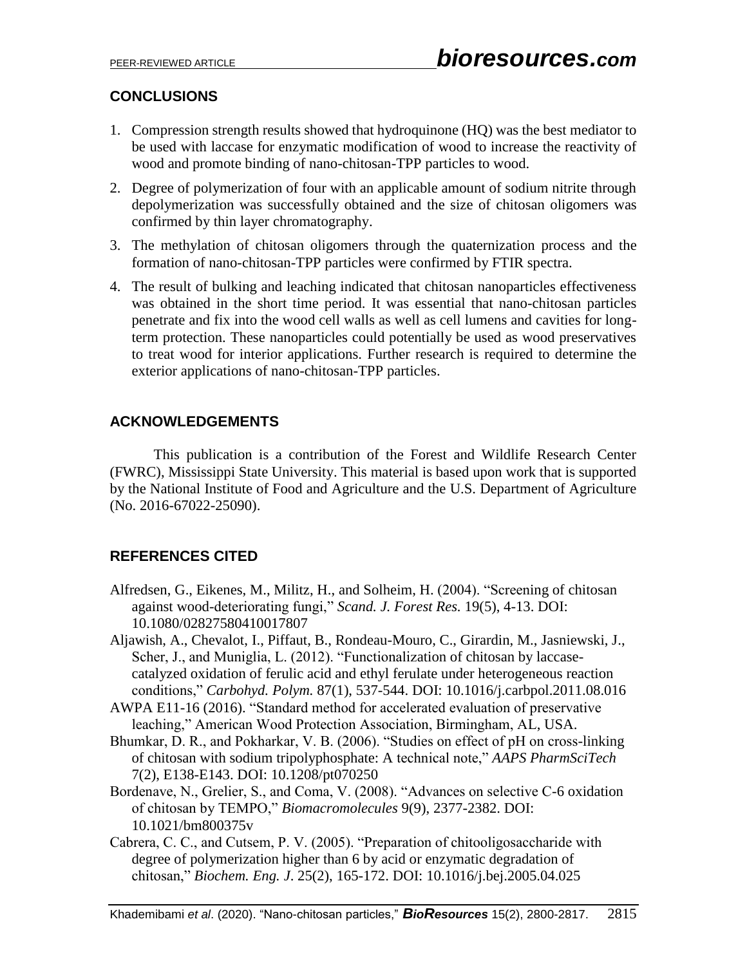# **CONCLUSIONS**

- 1. Compression strength results showed that hydroquinone (HQ) was the best mediator to be used with laccase for enzymatic modification of wood to increase the reactivity of wood and promote binding of nano-chitosan-TPP particles to wood.
- 2. Degree of polymerization of four with an applicable amount of sodium nitrite through depolymerization was successfully obtained and the size of chitosan oligomers was confirmed by thin layer chromatography.
- 3. The methylation of chitosan oligomers through the quaternization process and the formation of nano-chitosan-TPP particles were confirmed by FTIR spectra.
- 4. The result of bulking and leaching indicated that chitosan nanoparticles effectiveness was obtained in the short time period. It was essential that nano-chitosan particles penetrate and fix into the wood cell walls as well as cell lumens and cavities for longterm protection. These nanoparticles could potentially be used as wood preservatives to treat wood for interior applications. Further research is required to determine the exterior applications of nano-chitosan-TPP particles.

## **ACKNOWLEDGEMENTS**

This publication is a contribution of the Forest and Wildlife Research Center (FWRC), Mississippi State University. This material is based upon work that is supported by the National Institute of Food and Agriculture and the U.S. Department of Agriculture (No. 2016-67022-25090).

## **REFERENCES CITED**

- Alfredsen, G., Eikenes, M., Militz, H., and Solheim, H. (2004). "Screening of chitosan against wood-deteriorating fungi," *Scand. J. Forest Res.* 19(5), 4-13. DOI: 10.1080/02827580410017807
- Aljawish, A., Chevalot, I., Piffaut, B., Rondeau-Mouro, C., Girardin, M., Jasniewski, J., Scher, J., and Muniglia, L. (2012). "Functionalization of chitosan by laccasecatalyzed oxidation of ferulic acid and ethyl ferulate under heterogeneous reaction conditions," *Carbohyd. Polym.* 87(1), 537-544. DOI: 10.1016/j.carbpol.2011.08.016
- AWPA E11-16 (2016). "Standard method for accelerated evaluation of preservative leaching," American Wood Protection Association, Birmingham, AL, USA.
- Bhumkar, D. R., and Pokharkar, V. B. (2006). "Studies on effect of pH on cross-linking of chitosan with sodium tripolyphosphate: A technical note," *AAPS PharmSciTech* 7(2), E138-E143. DOI: 10.1208/pt070250
- Bordenave, N., Grelier, S., and Coma, V. (2008). "Advances on selective C-6 oxidation of chitosan by TEMPO," *Biomacromolecules* 9(9), 2377-2382. DOI: 10.1021/bm800375v
- Cabrera, C. C., and Cutsem, P. V. (2005). "Preparation of chitooligosaccharide with degree of polymerization higher than 6 by acid or enzymatic degradation of chitosan," *Biochem. Eng. J*. 25(2), 165-172. DOI: 10.1016/j.bej.2005.04.025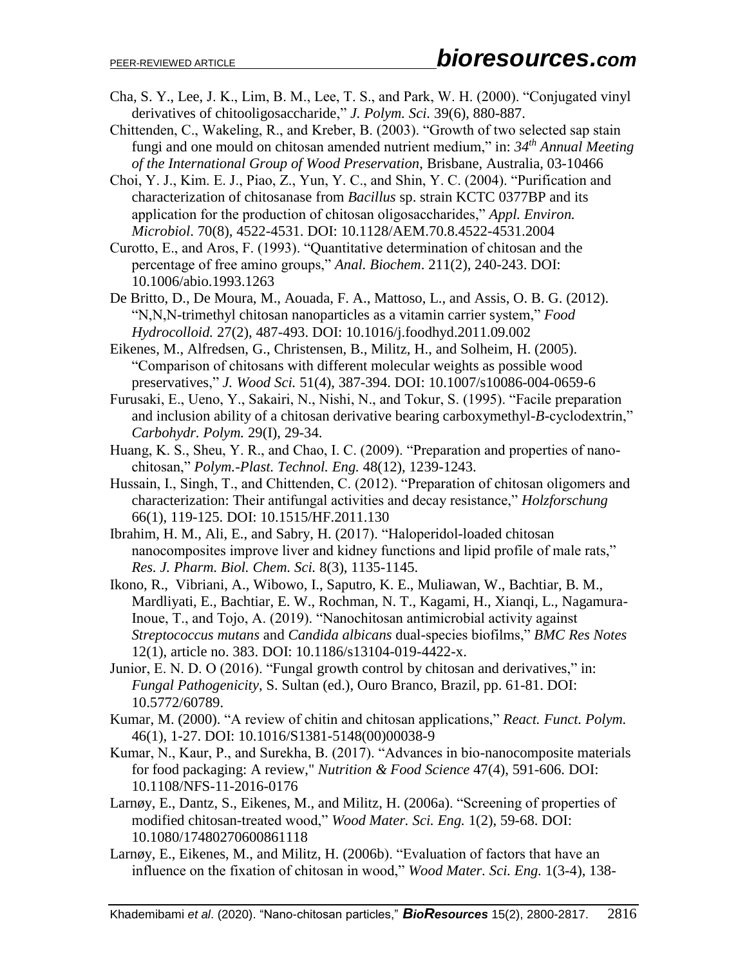- Cha, S. Y., Lee, J. K., Lim, B. M., Lee, T. S., and Park, W. H. (2000). "Conjugated vinyl derivatives of chitooligosaccharide," *J. Polym. Sci.* 39(6), 880-887.
- Chittenden, C., Wakeling, R., and Kreber, B. (2003). "Growth of two selected sap stain fungi and one mould on chitosan amended nutrient medium," in: *34th Annual Meeting of the International Group of Wood Preservation*, Brisbane, Australia, 03-10466
- Choi, Y. J., Kim. E. J., Piao, Z., Yun, Y. C., and Shin, Y. C. (2004). "Purification and characterization of chitosanase from *Bacillus* sp. strain KCTC 0377BP and its application for the production of chitosan oligosaccharides," *Appl. Environ. Microbiol*. 70(8), 4522-4531. DOI: 10.1128/AEM.70.8.4522-4531.2004
- Curotto, E., and Aros, F. (1993). "Quantitative determination of chitosan and the percentage of free amino groups," *Anal. Biochem*. 211(2), 240-243. DOI: 10.1006/abio.1993.1263
- De Britto, D., De Moura, M., Aouada, F. A., Mattoso, L., and Assis, O. B. G. (2012). "N,N,N-trimethyl chitosan nanoparticles as a vitamin carrier system," *Food Hydrocolloid.* 27(2), 487-493. DOI: 10.1016/j.foodhyd.2011.09.002
- Eikenes, M., Alfredsen, G., Christensen, B., Militz, H., and Solheim, H. (2005). "Comparison of chitosans with different molecular weights as possible wood preservatives," *J. Wood Sci.* 51(4), 387-394. DOI: 10.1007/s10086-004-0659-6
- Furusaki, E., Ueno, Y., Sakairi, N., Nishi, N., and Tokur, S. (1995). "Facile preparation and inclusion ability of a chitosan derivative bearing carboxymethyl-*B*-cyclodextrin," *Carbohydr. Polym.* 29(I), 29-34.
- Huang, K. S., Sheu, Y. R., and Chao, I. C. (2009). "Preparation and properties of nanochitosan," *Polym.-Plast. Technol. Eng.* 48(12), 1239-1243.
- Hussain, I., Singh, T., and Chittenden, C. (2012). "Preparation of chitosan oligomers and characterization: Their antifungal activities and decay resistance," *Holzforschung* 66(1), 119-125. DOI: 10.1515/HF.2011.130
- Ibrahim, H. M., Ali, E., and Sabry, H. (2017). "Haloperidol-loaded chitosan nanocomposites improve liver and kidney functions and lipid profile of male rats," *Res. J. Pharm. Biol. Chem. Sci.* 8(3), 1135-1145.
- Ikono, R., Vibriani, A., Wibowo, I., Saputro, K. E., Muliawan, W., Bachtiar, B. M., Mardliyati, E., Bachtiar, E. W., Rochman, N. T., Kagami, H., Xianqi, L., Nagamura-Inoue, T., and Tojo, A. (2019). "Nanochitosan antimicrobial activity against *Streptococcus mutans* and *Candida albicans* dual-species biofilms," *BMC Res Notes* 12(1), article no. 383. DOI: 10.1186/s13104-019-4422-x.
- Junior, E. N. D. O (2016). "Fungal growth control by chitosan and derivatives," in: *Fungal Pathogenicity*, S. Sultan (ed.), Ouro Branco, Brazil, pp. 61-81. DOI: 10.5772/60789.
- Kumar, M. (2000). "A review of chitin and chitosan applications," *React. Funct. Polym.*  46(1), 1-27. DOI: 10.1016/S1381-5148(00)00038-9
- Kumar, N., Kaur, P., and Surekha, B. (2017). "Advances in bio-nanocomposite materials for food packaging: A review," *Nutrition & Food Science* 47(4), 591-606. DOI: 10.1108/NFS-11-2016-0176
- Larnøy, E., Dantz, S., Eikenes, M., and Militz, H. (2006a). "Screening of properties of modified chitosan-treated wood," *Wood Mater. Sci. Eng.* 1(2), 59-68. DOI: 10.1080/17480270600861118
- Larnøy, E., Eikenes, M., and Militz, H. (2006b). "Evaluation of factors that have an influence on the fixation of chitosan in wood," *Wood Mater. Sci. Eng.* 1(3-4), 138-